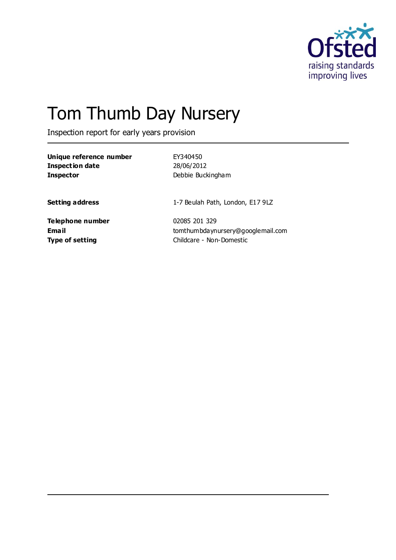

# Tom Thumb Day Nursery

Inspection report for early years provision

| Unique reference number |
|-------------------------|
| <b>Inspection date</b>  |
| <b>Inspector</b>        |

**Unique reference number** EY340450 **Inspection date** 28/06/2012 **Inspector** Debbie Buckingham

**Setting address** 1-7 Beulah Path, London, E17 9LZ

**Telephone number** 02085 201 329

**Email** tomthumbdaynursery@googlemail.com **Type of setting** Childcare - Non-Domestic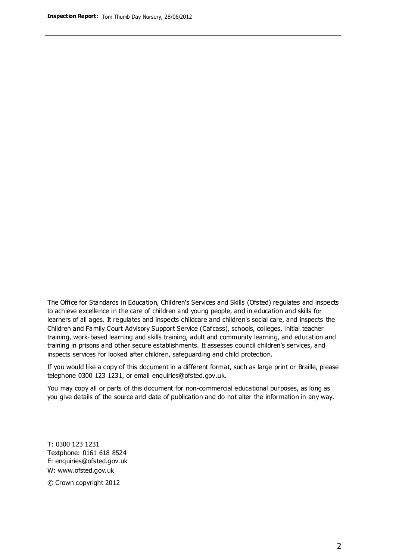The Office for Standards in Education, Children's Services and Skills (Ofsted) regulates and inspects to achieve excellence in the care of children and young people, and in education and skills for learners of all ages. It regulates and inspects childcare and children's social care, and inspects the Children and Family Court Advisory Support Service (Cafcass), schools, colleges, initial teacher training, work-based learning and skills training, adult and community learning, and education and training in prisons and other secure establishments. It assesses council children's services, and inspects services for looked after children, safeguarding and child protection.

If you would like a copy of this document in a different format, such as large print or Braille, please telephone 0300 123 1231, or email enquiries@ofsted.gov.uk.

You may copy all or parts of this document for non-commercial educational purposes, as long as you give details of the source and date of publication and do not alter the information in any way.

T: 0300 123 1231 Textphone: 0161 618 8524 E: enquiries@ofsted.gov.uk W: [www.ofsted.gov.uk](http://www.ofsted.gov.uk/)

© Crown copyright 2012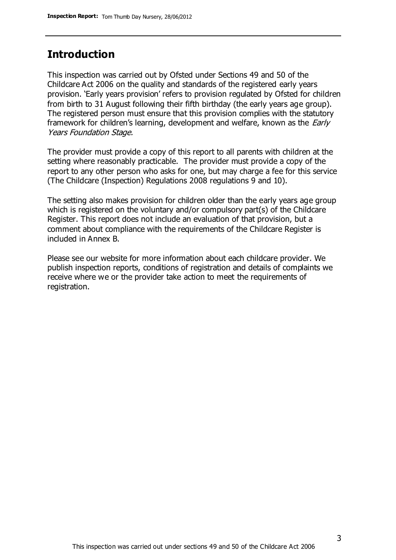### **Introduction**

This inspection was carried out by Ofsted under Sections 49 and 50 of the Childcare Act 2006 on the quality and standards of the registered early years provision. 'Early years provision' refers to provision regulated by Ofsted for children from birth to 31 August following their fifth birthday (the early years age group). The registered person must ensure that this provision complies with the statutory framework for children's learning, development and welfare, known as the *Early* Years Foundation Stage.

The provider must provide a copy of this report to all parents with children at the setting where reasonably practicable. The provider must provide a copy of the report to any other person who asks for one, but may charge a fee for this service (The Childcare (Inspection) Regulations 2008 regulations 9 and 10).

The setting also makes provision for children older than the early years age group which is registered on the voluntary and/or compulsory part(s) of the Childcare Register. This report does not include an evaluation of that provision, but a comment about compliance with the requirements of the Childcare Register is included in Annex B.

Please see our website for more information about each childcare provider. We publish inspection reports, conditions of registration and details of complaints we receive where we or the provider take action to meet the requirements of registration.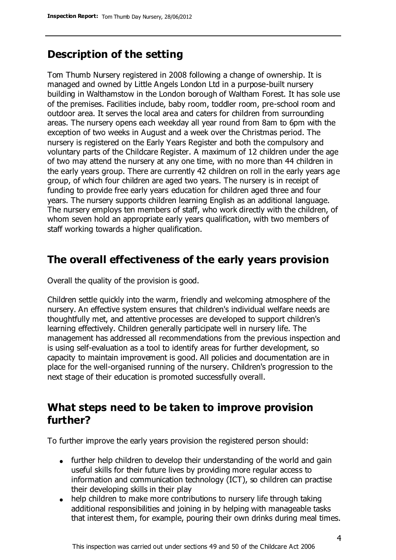### **Description of the setting**

Tom Thumb Nursery registered in 2008 following a change of ownership. It is managed and owned by Little Angels London Ltd in a purpose-built nursery building in Walthamstow in the London borough of Waltham Forest. It has sole use of the premises. Facilities include, baby room, toddler room, pre-school room and outdoor area. It serves the local area and caters for children from surrounding areas. The nursery opens each weekday all year round from 8am to 6pm with the exception of two weeks in August and a week over the Christmas period. The nursery is registered on the Early Years Register and both the compulsory and voluntary parts of the Childcare Register. A maximum of 12 children under the age of two may attend the nursery at any one time, with no more than 44 children in the early years group. There are currently 42 children on roll in the early years age group, of which four children are aged two years. The nursery is in receipt of funding to provide free early years education for children aged three and four years. The nursery supports children learning English as an additional language. The nursery employs ten members of staff, who work directly with the children, of whom seven hold an appropriate early years qualification, with two members of staff working towards a higher qualification.

### **The overall effectiveness of the early years provision**

Overall the quality of the provision is good.

Children settle quickly into the warm, friendly and welcoming atmosphere of the nursery. An effective system ensures that children's individual welfare needs are thoughtfully met, and attentive processes are developed to support children's learning effectively. Children generally participate well in nursery life. The management has addressed all recommendations from the previous inspection and is using self-evaluation as a tool to identify areas for further development, so capacity to maintain improvement is good. All policies and documentation are in place for the well-organised running of the nursery. Children's progression to the next stage of their education is promoted successfully overall.

## **What steps need to be taken to improve provision further?**

To further improve the early years provision the registered person should:

- further help children to develop their understanding of the world and gain useful skills for their future lives by providing more regular access to information and communication technology (ICT), so children can practise their developing skills in their play
- help children to make more contributions to nursery life through taking additional responsibilities and joining in by helping with manageable tasks that interest them, for example, pouring their own drinks during meal times.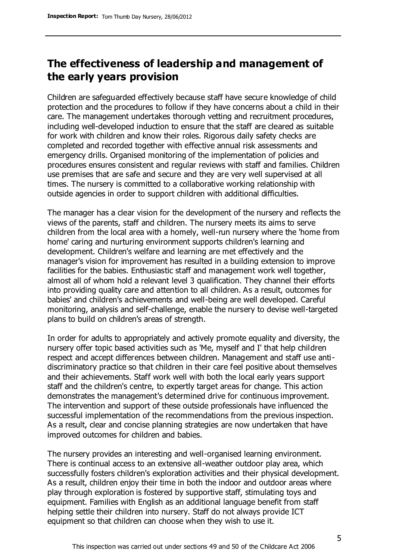# **The effectiveness of leadership and management of the early years provision**

Children are safeguarded effectively because staff have secure knowledge of child protection and the procedures to follow if they have concerns about a child in their care. The management undertakes thorough vetting and recruitment procedures, including well-developed induction to ensure that the staff are cleared as suitable for work with children and know their roles. Rigorous daily safety checks are completed and recorded together with effective annual risk assessments and emergency drills. Organised monitoring of the implementation of policies and procedures ensures consistent and regular reviews with staff and families. Children use premises that are safe and secure and they are very well supervised at all times. The nursery is committed to a collaborative working relationship with outside agencies in order to support children with additional difficulties.

The manager has a clear vision for the development of the nursery and reflects the views of the parents, staff and children. The nursery meets its aims to serve children from the local area with a homely, well-run nursery where the 'home from home' caring and nurturing environment supports children's learning and development. Children's welfare and learning are met effectively and the manager's vision for improvement has resulted in a building extension to improve facilities for the babies. Enthusiastic staff and management work well together, almost all of whom hold a relevant level 3 qualification. They channel their efforts into providing quality care and attention to all children. As a result, outcomes for babies' and children's achievements and well-being are well developed. Careful monitoring, analysis and self-challenge, enable the nursery to devise well-targeted plans to build on children's areas of strength.

In order for adults to appropriately and actively promote equality and diversity, the nursery offer topic based activities such as 'Me, myself and I' that help children respect and accept differences between children. Management and staff use antidiscriminatory practice so that children in their care feel positive about themselves and their achievements. Staff work well with both the local early years support staff and the children's centre, to expertly target areas for change. This action demonstrates the management's determined drive for continuous improvement. The intervention and support of these outside professionals have influenced the successful implementation of the recommendations from the previous inspection. As a result, clear and concise planning strategies are now undertaken that have improved outcomes for children and babies.

The nursery provides an interesting and well-organised learning environment. There is continual access to an extensive all-weather outdoor play area, which successfully fosters children's exploration activities and their physical development. As a result, children enjoy their time in both the indoor and outdoor areas where play through exploration is fostered by supportive staff, stimulating toys and equipment. Families with English as an additional language benefit from staff helping settle their children into nursery. Staff do not always provide ICT equipment so that children can choose when they wish to use it.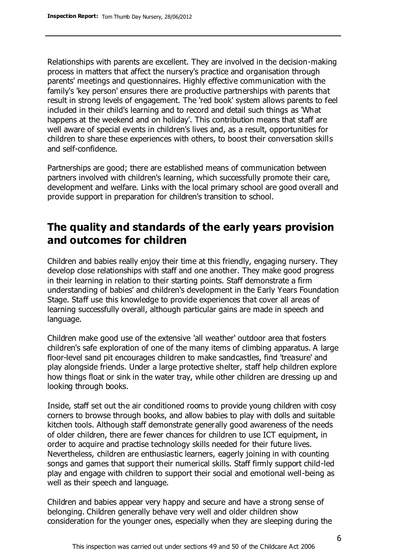Relationships with parents are excellent. They are involved in the decision-making process in matters that affect the nursery's practice and organisation through parents' meetings and questionnaires. Highly effective communication with the family's 'key person' ensures there are productive partnerships with parents that result in strong levels of engagement. The 'red book' system allows parents to feel included in their child's learning and to record and detail such things as 'What happens at the weekend and on holiday'. This contribution means that staff are well aware of special events in children's lives and, as a result, opportunities for children to share these experiences with others, to boost their conversation skills and self-confidence.

Partnerships are good; there are established means of communication between partners involved with children's learning, which successfully promote their care, development and welfare. Links with the local primary school are good overall and provide support in preparation for children's transition to school.

## **The quality and standards of the early years provision and outcomes for children**

Children and babies really enjoy their time at this friendly, engaging nursery. They develop close relationships with staff and one another. They make good progress in their learning in relation to their starting points. Staff demonstrate a firm understanding of babies' and children's development in the Early Years Foundation Stage. Staff use this knowledge to provide experiences that cover all areas of learning successfully overall, although particular gains are made in speech and language.

Children make good use of the extensive 'all weather' outdoor area that fosters children's safe exploration of one of the many items of climbing apparatus. A large floor-level sand pit encourages children to make sandcastles, find 'treasure' and play alongside friends. Under a large protective shelter, staff help children explore how things float or sink in the water tray, while other children are dressing up and looking through books.

Inside, staff set out the air conditioned rooms to provide young children with cosy corners to browse through books, and allow babies to play with dolls and suitable kitchen tools. Although staff demonstrate generally good awareness of the needs of older children, there are fewer chances for children to use ICT equipment, in order to acquire and practise technology skills needed for their future lives. Nevertheless, children are enthusiastic learners, eagerly joining in with counting songs and games that support their numerical skills. Staff firmly support child-led play and engage with children to support their social and emotional well-being as well as their speech and language.

Children and babies appear very happy and secure and have a strong sense of belonging. Children generally behave very well and older children show consideration for the younger ones, especially when they are sleeping during the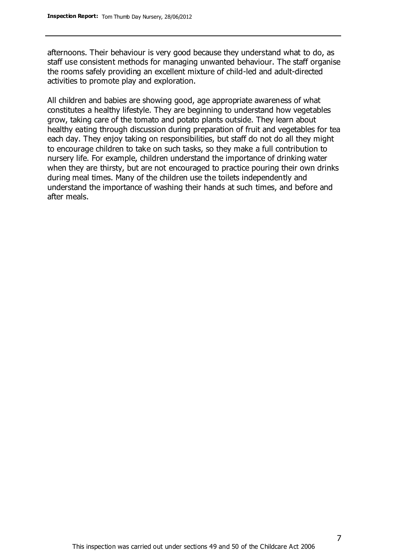afternoons. Their behaviour is very good because they understand what to do, as staff use consistent methods for managing unwanted behaviour. The staff organise the rooms safely providing an excellent mixture of child-led and adult-directed activities to promote play and exploration.

All children and babies are showing good, age appropriate awareness of what constitutes a healthy lifestyle. They are beginning to understand how vegetables grow, taking care of the tomato and potato plants outside. They learn about healthy eating through discussion during preparation of fruit and vegetables for tea each day. They enjoy taking on responsibilities, but staff do not do all they might to encourage children to take on such tasks, so they make a full contribution to nursery life. For example, children understand the importance of drinking water when they are thirsty, but are not encouraged to practice pouring their own drinks during meal times. Many of the children use the toilets independently and understand the importance of washing their hands at such times, and before and after meals.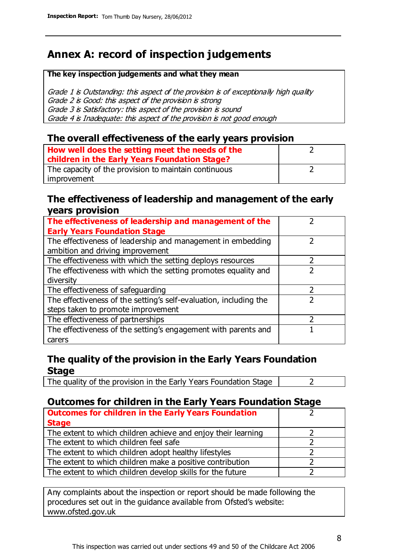# **Annex A: record of inspection judgements**

#### **The key inspection judgements and what they mean**

Grade 1 is Outstanding: this aspect of the provision is of exceptionally high quality Grade 2 is Good: this aspect of the provision is strong Grade 3 is Satisfactory: this aspect of the provision is sound Grade 4 is Inadequate: this aspect of the provision is not good enough

#### **The overall effectiveness of the early years provision**

| How well does the setting meet the needs of the      |  |
|------------------------------------------------------|--|
| children in the Early Years Foundation Stage?        |  |
| The capacity of the provision to maintain continuous |  |
| improvement                                          |  |

#### **The effectiveness of leadership and management of the early years provision**

| The effectiveness of leadership and management of the             |   |
|-------------------------------------------------------------------|---|
| <b>Early Years Foundation Stage</b>                               |   |
| The effectiveness of leadership and management in embedding       |   |
| ambition and driving improvement                                  |   |
| The effectiveness with which the setting deploys resources        |   |
| The effectiveness with which the setting promotes equality and    |   |
| diversity                                                         |   |
| The effectiveness of safeguarding                                 | 7 |
| The effectiveness of the setting's self-evaluation, including the |   |
| steps taken to promote improvement                                |   |
| The effectiveness of partnerships                                 |   |
| The effectiveness of the setting's engagement with parents and    |   |
| carers                                                            |   |

### **The quality of the provision in the Early Years Foundation Stage**

The quality of the provision in the Early Years Foundation Stage  $\vert$  2

### **Outcomes for children in the Early Years Foundation Stage**

| <b>Outcomes for children in the Early Years Foundation</b>    |  |
|---------------------------------------------------------------|--|
| <b>Stage</b>                                                  |  |
| The extent to which children achieve and enjoy their learning |  |
| The extent to which children feel safe                        |  |
| The extent to which children adopt healthy lifestyles         |  |
| The extent to which children make a positive contribution     |  |
| The extent to which children develop skills for the future    |  |

Any complaints about the inspection or report should be made following the procedures set out in the guidance available from Ofsted's website: www.ofsted.gov.uk